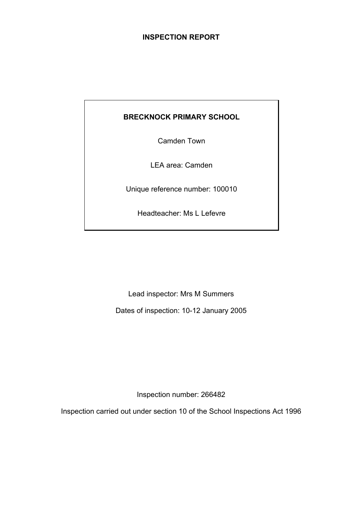# **INSPECTION REPORT**

# **BRECKNOCK PRIMARY SCHOOL**

Camden Town

LEA area: Camden

Unique reference number: 100010

Headteacher: Ms L Lefevre

Lead inspector: Mrs M Summers

Dates of inspection: 10-12 January 2005

Inspection number: 266482

Inspection carried out under section 10 of the School Inspections Act 1996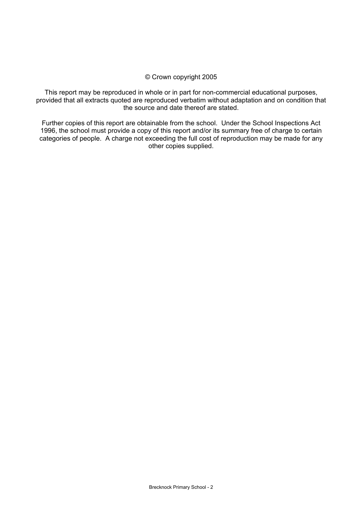#### © Crown copyright 2005

This report may be reproduced in whole or in part for non-commercial educational purposes, provided that all extracts quoted are reproduced verbatim without adaptation and on condition that the source and date thereof are stated.

Further copies of this report are obtainable from the school. Under the School Inspections Act 1996, the school must provide a copy of this report and/or its summary free of charge to certain categories of people. A charge not exceeding the full cost of reproduction may be made for any other copies supplied.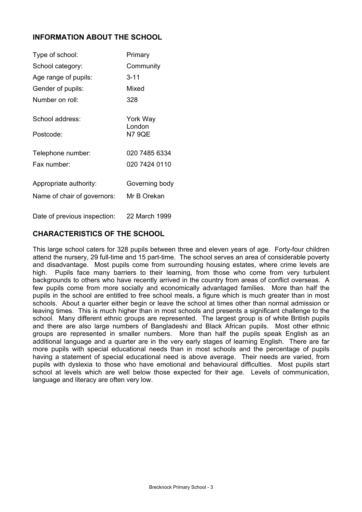# **INFORMATION ABOUT THE SCHOOL**

| Type of school:              | Primary            |
|------------------------------|--------------------|
| School category:             | Community          |
| Age range of pupils:         | $3 - 11$           |
| Gender of pupils:            | Mixed              |
| Number on roll:              | 328                |
| School address:              | York Way<br>London |
| Postcode:                    | <b>N7 9QE</b>      |
| Telephone number:            | 020 7485 6334      |
| Fax number:                  | 020 7424 0110      |
| Appropriate authority:       | Governing body     |
| Name of chair of governors:  | Mr B Orekan        |
| Date of previous inspection: | 22 March 1999      |

# **CHARACTERISTICS OF THE SCHOOL**

This large school caters for 328 pupils between three and eleven years of age. Forty-four children attend the nursery, 29 full-time and 15 part-time. The school serves an area of considerable poverty and disadvantage. Most pupils come from surrounding housing estates, where crime levels are high. Pupils face many barriers to their learning, from those who come from very turbulent backgrounds to others who have recently arrived in the country from areas of conflict overseas. A few pupils come from more socially and economically advantaged families. More than half the pupils in the school are entitled to free school meals, a figure which is much greater than in most schools. About a quarter either begin or leave the school at times other than normal admission or leaving times. This is much higher than in most schools and presents a significant challenge to the school. Many different ethnic groups are represented. The largest group is of white British pupils and there are also large numbers of Bangladeshi and Black African pupils. Most other ethnic groups are represented in smaller numbers. More than half the pupils speak English as an additional language and a quarter are in the very early stages of learning English. There are far more pupils with special educational needs than in most schools and the percentage of pupils having a statement of special educational need is above average. Their needs are varied, from pupils with dyslexia to those who have emotional and behavioural difficulties. Most pupils start school at levels which are well below those expected for their age. Levels of communication, language and literacy are often very low.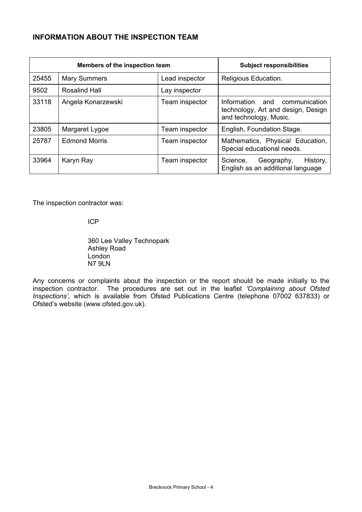# **INFORMATION ABOUT THE INSPECTION TEAM**

| Members of the inspection team |                      | <b>Subject responsibilities</b> |                                                                                                     |
|--------------------------------|----------------------|---------------------------------|-----------------------------------------------------------------------------------------------------|
| 25455                          | <b>Mary Summers</b>  | Lead inspector                  | Religious Education.                                                                                |
| 9502                           | Rosalind Hall        | Lay inspector                   |                                                                                                     |
| 33118                          | Angela Konarzewski   | Team inspector                  | Information<br>and<br>communication<br>technology, Art and design, Design<br>and technology, Music. |
| 23805                          | Margaret Lygoe       | Team inspector                  | English, Foundation Stage.                                                                          |
| 25787                          | <b>Edmond Morris</b> | Team inspector                  | Mathematics, Physical Education,<br>Special educational needs.                                      |
| 33964                          | Karyn Ray            | Team inspector                  | History,<br>Science,<br>Geography,<br>English as an additional language                             |

The inspection contractor was:

ICP

 360 Lee Valley Technopark Ashley Road London N7 9LN

Any concerns or complaints about the inspection or the report should be made initially to the inspection contractor. The procedures are set out in the leaflet *'Complaining about Ofsted Inspections'*, which is available from Ofsted Publications Centre (telephone 07002 637833) or Ofsted's website (www.ofsted.gov.uk).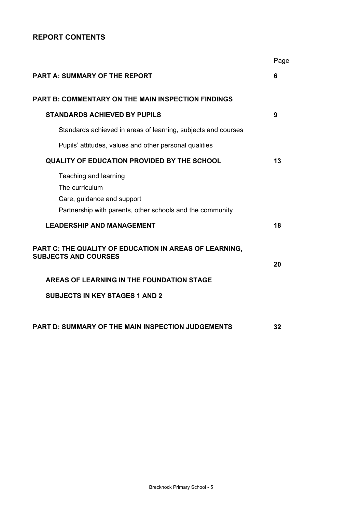# **REPORT CONTENTS**

|                                                                                                                                    | Page |
|------------------------------------------------------------------------------------------------------------------------------------|------|
| <b>PART A: SUMMARY OF THE REPORT</b>                                                                                               | 6    |
| <b>PART B: COMMENTARY ON THE MAIN INSPECTION FINDINGS</b>                                                                          |      |
| <b>STANDARDS ACHIEVED BY PUPILS</b>                                                                                                | 9    |
| Standards achieved in areas of learning, subjects and courses                                                                      |      |
| Pupils' attitudes, values and other personal qualities                                                                             |      |
| QUALITY OF EDUCATION PROVIDED BY THE SCHOOL                                                                                        | 13   |
| Teaching and learning<br>The curriculum<br>Care, guidance and support<br>Partnership with parents, other schools and the community |      |
| <b>LEADERSHIP AND MANAGEMENT</b>                                                                                                   | 18   |
| PART C: THE QUALITY OF EDUCATION IN AREAS OF LEARNING,<br><b>SUBJECTS AND COURSES</b>                                              | 20   |
| AREAS OF LEARNING IN THE FOUNDATION STAGE                                                                                          |      |
| <b>SUBJECTS IN KEY STAGES 1 AND 2</b>                                                                                              |      |
|                                                                                                                                    |      |
| <b>PART D: SUMMARY OF THE MAIN INSPECTION JUDGEMENTS</b>                                                                           | 32   |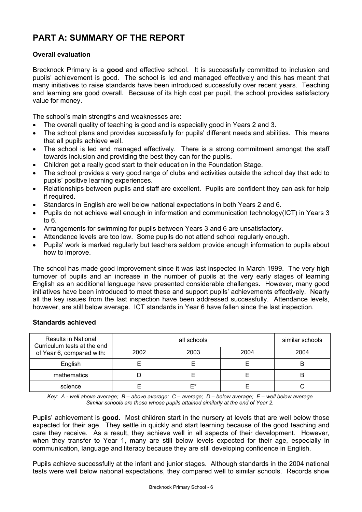# **PART A: SUMMARY OF THE REPORT**

# **Overall evaluation**

Brecknock Primary is a **good** and effective school. It is successfully committed to inclusion and pupils' achievement is good. The school is led and managed effectively and this has meant that many initiatives to raise standards have been introduced successfully over recent years. Teaching and learning are good overall. Because of its high cost per pupil, the school provides satisfactory value for money.

The school's main strengths and weaknesses are:

- The overall quality of teaching is good and is especially good in Years 2 and 3.
- The school plans and provides successfully for pupils' different needs and abilities. This means that all pupils achieve well.
- The school is led and managed effectively. There is a strong commitment amongst the staff towards inclusion and providing the best they can for the pupils.
- Children get a really good start to their education in the Foundation Stage.
- The school provides a very good range of clubs and activities outside the school day that add to pupils' positive learning experiences.
- Relationships between pupils and staff are excellent. Pupils are confident they can ask for help if required.
- Standards in English are well below national expectations in both Years 2 and 6.
- Pupils do not achieve well enough in information and communication technology(ICT) in Years 3 to 6.
- Arrangements for swimming for pupils between Years 3 and 6 are unsatisfactory.
- Attendance levels are too low. Some pupils do not attend school regularly enough.
- Pupils' work is marked regularly but teachers seldom provide enough information to pupils about how to improve.

The school has made good improvement since it was last inspected in March 1999. The very high turnover of pupils and an increase in the number of pupils at the very early stages of learning English as an additional language have presented considerable challenges. However, many good initiatives have been introduced to meet these and support pupils' achievements effectively. Nearly all the key issues from the last inspection have been addressed successfully. Attendance levels, however, are still below average. ICT standards in Year 6 have fallen since the last inspection.

#### **Standards achieved**

| <b>Results in National</b><br>Curriculum tests at the end |      | similar schools |      |      |
|-----------------------------------------------------------|------|-----------------|------|------|
| of Year 6, compared with:                                 | 2002 | 2003            | 2004 | 2004 |
| English                                                   |      |                 |      | B    |
| mathematics                                               |      |                 |      |      |
| science                                                   |      | F*              |      |      |

*Key: A - well above average; B – above average; C – average; D – below average; E – well below average Similar schools are those whose pupils attained similarly at the end of Year 2.* 

Pupils' achievement is **good.** Most children start in the nursery at levels that are well below those expected for their age. They settle in quickly and start learning because of the good teaching and care they receive. As a result, they achieve well in all aspects of their development. However, when they transfer to Year 1, many are still below levels expected for their age, especially in communication, language and literacy because they are still developing confidence in English.

Pupils achieve successfully at the infant and junior stages. Although standards in the 2004 national tests were well below national expectations, they compared well to similar schools. Records show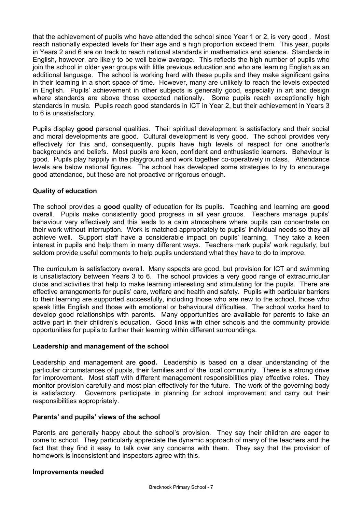that the achievement of pupils who have attended the school since Year 1 or 2, is very good . Most reach nationally expected levels for their age and a high proportion exceed them. This year, pupils in Years 2 and 6 are on track to reach national standards in mathematics and science. Standards in English, however, are likely to be well below average. This reflects the high number of pupils who join the school in older year groups with little previous education and who are learning English as an additional language. The school is working hard with these pupils and they make significant gains in their learning in a short space of time. However, many are unlikely to reach the levels expected in English. Pupils' achievement in other subjects is generally good, especially in art and design where standards are above those expected nationally. Some pupils reach exceptionally high standards in music. Pupils reach good standards in ICT in Year 2, but their achievement in Years 3 to 6 is unsatisfactory.

Pupils display **good** personal qualities. Their spiritual development is satisfactory and their social and moral developments are good. Cultural development is very good. The school provides very effectively for this and, consequently, pupils have high levels of respect for one another's backgrounds and beliefs. Most pupils are keen, confident and enthusiastic learners. Behaviour is good. Pupils play happily in the playground and work together co-operatively in class. Attendance levels are below national figures. The school has developed some strategies to try to encourage good attendance, but these are not proactive or rigorous enough.

#### **Quality of education**

The school provides a **good** quality of education for its pupils. Teaching and learning are **good**  overall. Pupils make consistently good progress in all year groups. Teachers manage pupils' behaviour very effectively and this leads to a calm atmosphere where pupils can concentrate on their work without interruption. Work is matched appropriately to pupils' individual needs so they all achieve well. Support staff have a considerable impact on pupils' learning. They take a keen interest in pupils and help them in many different ways. Teachers mark pupils' work regularly, but seldom provide useful comments to help pupils understand what they have to do to improve.

The curriculum is satisfactory overall. Many aspects are good, but provision for ICT and swimming is unsatisfactory between Years 3 to 6. The school provides a very good range of extracurricular clubs and activities that help to make learning interesting and stimulating for the pupils. There are effective arrangements for pupils' care, welfare and health and safety. Pupils with particular barriers to their learning are supported successfully, including those who are new to the school, those who speak little English and those with emotional or behavioural difficulties. The school works hard to develop good relationships with parents. Many opportunities are available for parents to take an active part in their children's education. Good links with other schools and the community provide opportunities for pupils to further their learning within different surroundings.

#### **Leadership and management of the school**

Leadership and management are **good.** Leadership is based on a clear understanding of the particular circumstances of pupils, their families and of the local community. There is a strong drive for improvement. Most staff with different management responsibilities play effective roles. They monitor provision carefully and most plan effectively for the future. The work of the governing body is satisfactory. Governors participate in planning for school improvement and carry out their responsibilities appropriately.

#### **Parents' and pupils' views of the school**

Parents are generally happy about the school's provision. They say their children are eager to come to school. They particularly appreciate the dynamic approach of many of the teachers and the fact that they find it easy to talk over any concerns with them. They say that the provision of homework is inconsistent and inspectors agree with this.

#### **Improvements needed**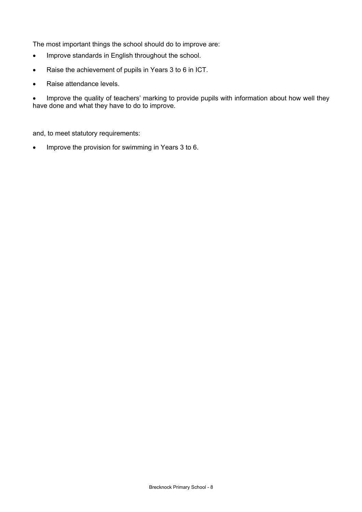The most important things the school should do to improve are:

- Improve standards in English throughout the school.
- Raise the achievement of pupils in Years 3 to 6 in ICT.
- Raise attendance levels.
- Improve the quality of teachers' marking to provide pupils with information about how well they have done and what they have to do to improve.

and, to meet statutory requirements:

• Improve the provision for swimming in Years 3 to 6.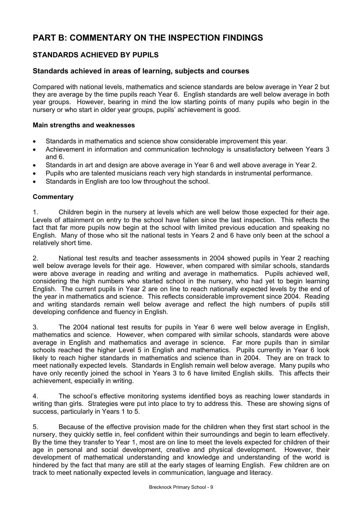# **PART B: COMMENTARY ON THE INSPECTION FINDINGS**

# **STANDARDS ACHIEVED BY PUPILS**

# **Standards achieved in areas of learning, subjects and courses**

Compared with national levels, mathematics and science standards are below average in Year 2 but they are average by the time pupils reach Year 6. English standards are well below average in both year groups. However, bearing in mind the low starting points of many pupils who begin in the nursery or who start in older year groups, pupils' achievement is good.

#### **Main strengths and weaknesses**

- Standards in mathematics and science show considerable improvement this year.
- Achievement in information and communication technology is unsatisfactory between Years 3 and 6.
- Standards in art and design are above average in Year 6 and well above average in Year 2.
- Pupils who are talented musicians reach very high standards in instrumental performance.
- Standards in English are too low throughout the school.

#### **Commentary**

1. Children begin in the nursery at levels which are well below those expected for their age. Levels of attainment on entry to the school have fallen since the last inspection. This reflects the fact that far more pupils now begin at the school with limited previous education and speaking no English. Many of those who sit the national tests in Years 2 and 6 have only been at the school a relatively short time.

2. National test results and teacher assessments in 2004 showed pupils in Year 2 reaching well below average levels for their age. However, when compared with similar schools, standards were above average in reading and writing and average in mathematics. Pupils achieved well, considering the high numbers who started school in the nursery, who had yet to begin learning English. The current pupils in Year 2 are on line to reach nationally expected levels by the end of the year in mathematics and science. This reflects considerable improvement since 2004. Reading and writing standards remain well below average and reflect the high numbers of pupils still developing confidence and fluency in English.

3. The 2004 national test results for pupils in Year 6 were well below average in English, mathematics and science. However, when compared with similar schools, standards were above average in English and mathematics and average in science. Far more pupils than in similar schools reached the higher Level 5 in English and mathematics. Pupils currently in Year 6 look likely to reach higher standards in mathematics and science than in 2004. They are on track to meet nationally expected levels. Standards in English remain well below average. Many pupils who have only recently joined the school in Years 3 to 6 have limited English skills. This affects their achievement, especially in writing.

4. The school's effective monitoring systems identified boys as reaching lower standards in writing than girls. Strategies were put into place to try to address this. These are showing signs of success, particularly in Years 1 to 5.

5. Because of the effective provision made for the children when they first start school in the nursery, they quickly settle in, feel confident within their surroundings and begin to learn effectively. By the time they transfer to Year 1, most are on line to meet the levels expected for children of their age in personal and social development, creative and physical development. However, their development of mathematical understanding and knowledge and understanding of the world is hindered by the fact that many are still at the early stages of learning English. Few children are on track to meet nationally expected levels in communication, language and literacy.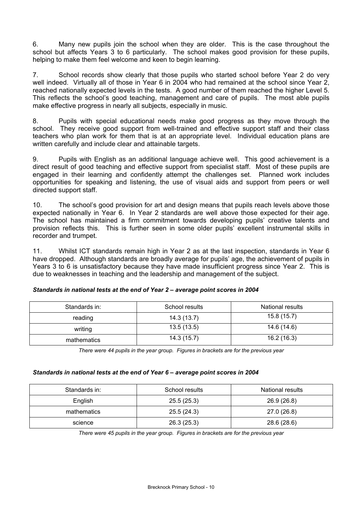6. Many new pupils join the school when they are older. This is the case throughout the school but affects Years 3 to 6 particularly. The school makes good provision for these pupils, helping to make them feel welcome and keen to begin learning.

7. School records show clearly that those pupils who started school before Year 2 do very well indeed. Virtually all of those in Year 6 in 2004 who had remained at the school since Year 2, reached nationally expected levels in the tests. A good number of them reached the higher Level 5. This reflects the school's good teaching, management and care of pupils. The most able pupils make effective progress in nearly all subjects, especially in music.

8. Pupils with special educational needs make good progress as they move through the school. They receive good support from well-trained and effective support staff and their class teachers who plan work for them that is at an appropriate level. Individual education plans are written carefully and include clear and attainable targets.

9. Pupils with English as an additional language achieve well. This good achievement is a direct result of good teaching and effective support from specialist staff. Most of these pupils are engaged in their learning and confidently attempt the challenges set. Planned work includes opportunities for speaking and listening, the use of visual aids and support from peers or well directed support staff.

10. The school's good provision for art and design means that pupils reach levels above those expected nationally in Year 6. In Year 2 standards are well above those expected for their age. The school has maintained a firm commitment towards developing pupils' creative talents and provision reflects this. This is further seen in some older pupils' excellent instrumental skills in recorder and trumpet.

11. Whilst ICT standards remain high in Year 2 as at the last inspection, standards in Year 6 have dropped. Although standards are broadly average for pupils' age, the achievement of pupils in Years 3 to 6 is unsatisfactory because they have made insufficient progress since Year 2. This is due to weaknesses in teaching and the leadership and management of the subject.

| Standards in: | School results | National results |
|---------------|----------------|------------------|
| reading       | 14.3(13.7)     | 15.8(15.7)       |
| writing       | 13.5(13.5)     | 14.6 (14.6)      |
| mathematics   | 14.3(15.7)     | 16.2(16.3)       |

#### *Standards in national tests at the end of Year 2 – average point scores in 2004*

*There were 44 pupils in the year group. Figures in brackets are for the previous year* 

#### *Standards in national tests at the end of Year 6 – average point scores in 2004*

| Standards in: | School results | National results |
|---------------|----------------|------------------|
| English       | 25.5(25.3)     | 26.9 (26.8)      |
| mathematics   | 25.5(24.3)     | 27.0 (26.8)      |
| science       | 26.3(25.3)     | 28.6 (28.6)      |

*There were 45 pupils in the year group. Figures in brackets are for the previous year*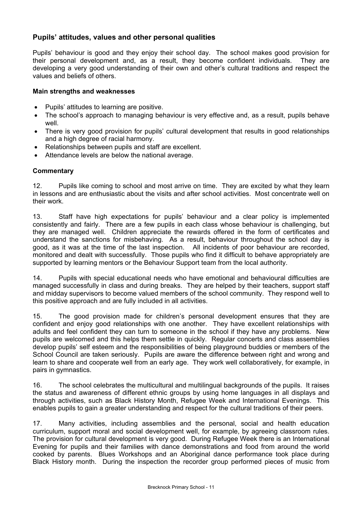# **Pupils' attitudes, values and other personal qualities**

Pupils' behaviour is good and they enjoy their school day. The school makes good provision for their personal development and, as a result, they become confident individuals. They are developing a very good understanding of their own and other's cultural traditions and respect the values and beliefs of others.

#### **Main strengths and weaknesses**

- Pupils' attitudes to learning are positive.
- The school's approach to managing behaviour is very effective and, as a result, pupils behave well.
- There is very good provision for pupils' cultural development that results in good relationships and a high degree of racial harmony.
- Relationships between pupils and staff are excellent.
- Attendance levels are below the national average.

#### **Commentary**

12. Pupils like coming to school and most arrive on time. They are excited by what they learn in lessons and are enthusiastic about the visits and after school activities. Most concentrate well on their work.

13. Staff have high expectations for pupils' behaviour and a clear policy is implemented consistently and fairly. There are a few pupils in each class whose behaviour is challenging, but they are managed well. Children appreciate the rewards offered in the form of certificates and understand the sanctions for misbehaving. As a result, behaviour throughout the school day is good, as it was at the time of the last inspection. All incidents of poor behaviour are recorded, monitored and dealt with successfully. Those pupils who find it difficult to behave appropriately are supported by learning mentors or the Behaviour Support team from the local authority.

14. Pupils with special educational needs who have emotional and behavioural difficulties are managed successfully in class and during breaks. They are helped by their teachers, support staff and midday supervisors to become valued members of the school community. They respond well to this positive approach and are fully included in all activities.

15. The good provision made for children's personal development ensures that they are confident and enjoy good relationships with one another. They have excellent relationships with adults and feel confident they can turn to someone in the school if they have any problems. New pupils are welcomed and this helps them settle in quickly. Regular concerts and class assemblies develop pupils' self esteem and the responsibilities of being playground buddies or members of the School Council are taken seriously. Pupils are aware the difference between right and wrong and learn to share and cooperate well from an early age. They work well collaboratively, for example, in pairs in gymnastics.

16. The school celebrates the multicultural and multilingual backgrounds of the pupils. It raises the status and awareness of different ethnic groups by using home languages in all displays and through activities, such as Black History Month, Refugee Week and International Evenings. This enables pupils to gain a greater understanding and respect for the cultural traditions of their peers.

17. Many activities, including assemblies and the personal, social and health education curriculum, support moral and social development well, for example, by agreeing classroom rules. The provision for cultural development is very good. During Refugee Week there is an International Evening for pupils and their families with dance demonstrations and food from around the world cooked by parents. Blues Workshops and an Aboriginal dance performance took place during Black History month. During the inspection the recorder group performed pieces of music from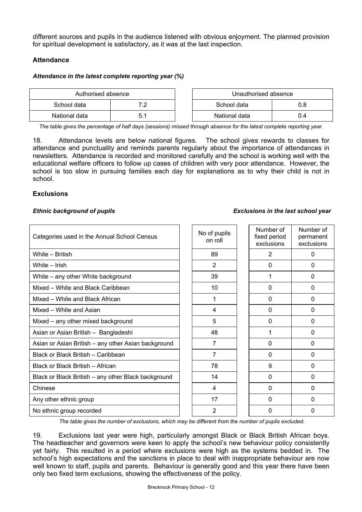different sources and pupils in the audience listened with obvious enjoyment. The planned provision for spiritual development is satisfactory, as it was at the last inspection.

# **Attendance**

#### *Attendance in the latest complete reporting year (%)*

| Authorised absence       |  | Unauthorised absence |     |
|--------------------------|--|----------------------|-----|
| School data<br>79<br>. . |  | School data          |     |
| National data            |  | National data        | J.4 |

*The table gives the percentage of half days (sessions) missed through absence for the latest complete reporting year.*

18. Attendance levels are below national figures. The school gives rewards to classes for attendance and punctuality and reminds parents regularly about the importance of attendances in newsletters. Attendance is recorded and monitored carefully and the school is working well with the educational welfare officers to follow up cases of children with very poor attendance. However, the school is too slow in pursuing families each day for explanations as to why their child is not in school.

#### **Exclusions**

#### *Ethnic background of pupils Exclusions in the last school year*

| Categories used in the Annual School Census         | No of pupils<br>on roll | Number of<br>fixed period<br>exclusions | Number of<br>permanent<br>exclusions |
|-----------------------------------------------------|-------------------------|-----------------------------------------|--------------------------------------|
| White - British                                     | 89                      | $\overline{2}$                          | 0                                    |
| White – Irish                                       | $\overline{2}$          | $\Omega$                                | 0                                    |
| White – any other White background                  | 39                      |                                         | 0                                    |
| Mixed – White and Black Caribbean                   | 10                      | $\Omega$                                | $\Omega$                             |
| Mixed - White and Black African                     | 1                       | $\Omega$                                | 0                                    |
| Mixed - White and Asian                             | 4                       | $\Omega$                                | 0                                    |
| Mixed – any other mixed background                  | 5                       | $\Omega$                                | 0                                    |
| Asian or Asian British - Bangladeshi                | 48                      |                                         | 0                                    |
| Asian or Asian British - any other Asian background | $\overline{7}$          | $\Omega$                                | 0                                    |
| Black or Black British - Caribbean                  | $\overline{7}$          | $\Omega$                                | 0                                    |
| Black or Black British - African                    | 78                      | 9                                       | 0                                    |
| Black or Black British – any other Black background | 14                      | $\mathbf{0}$                            | 0                                    |
| Chinese                                             | 4                       | $\mathbf 0$                             | 0                                    |
| Any other ethnic group                              | 17                      | $\Omega$                                | 0                                    |
| No ethnic group recorded                            | $\overline{2}$          | $\Omega$                                | 0                                    |

*The table gives the number of exclusions, which may be different from the number of pupils excluded.*

19. Exclusions last year were high, particularly amongst Black or Black British African boys. The headteacher and governors were keen to apply the school's new behaviour policy consistently yet fairly. This resulted in a period where exclusions were high as the systems bedded in. The school's high expectations and the sanctions in place to deal with inappropriate behaviour are now well known to staff, pupils and parents. Behaviour is generally good and this year there have been only two fixed term exclusions, showing the effectiveness of the policy.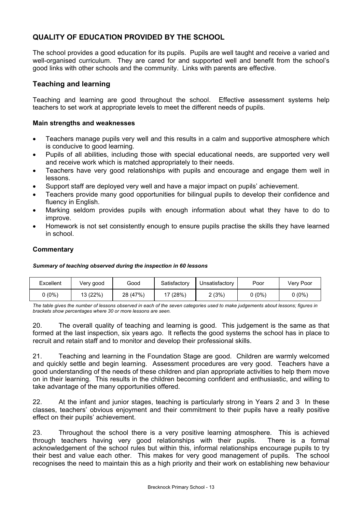# **QUALITY OF EDUCATION PROVIDED BY THE SCHOOL**

The school provides a good education for its pupils. Pupils are well taught and receive a varied and well-organised curriculum. They are cared for and supported well and benefit from the school's good links with other schools and the community. Links with parents are effective.

# **Teaching and learning**

Teaching and learning are good throughout the school. Effective assessment systems help teachers to set work at appropriate levels to meet the different needs of pupils.

#### **Main strengths and weaknesses**

- Teachers manage pupils very well and this results in a calm and supportive atmosphere which is conducive to good learning.
- Pupils of all abilities, including those with special educational needs, are supported very well and receive work which is matched appropriately to their needs.
- Teachers have very good relationships with pupils and encourage and engage them well in lessons.
- Support staff are deployed very well and have a major impact on pupils' achievement.
- Teachers provide many good opportunities for bilingual pupils to develop their confidence and fluency in English.
- Marking seldom provides pupils with enough information about what they have to do to improve.
- Homework is not set consistently enough to ensure pupils practise the skills they have learned in school.

#### **Commentary**

#### *Summary of teaching observed during the inspection in 60 lessons*

| Excellent | Verv good | Good     | Satisfactory | Unsatisfactory | Poor   | Verv Poor |
|-----------|-----------|----------|--------------|----------------|--------|-----------|
| $(0\%)$   | 13 (22%)  | 28 (47%) | 17 (28%)     | 2(3%)          | 0 (0%) | $0(0\%)$  |

*The table gives the number of lessons observed in each of the seven categories used to make judgements about lessons; figures in brackets show percentages where 30 or more lessons are seen.* 

20. The overall quality of teaching and learning is good. This judgement is the same as that formed at the last inspection, six years ago. It reflects the good systems the school has in place to recruit and retain staff and to monitor and develop their professional skills.

21. Teaching and learning in the Foundation Stage are good. Children are warmly welcomed and quickly settle and begin learning. Assessment procedures are very good. Teachers have a good understanding of the needs of these children and plan appropriate activities to help them move on in their learning. This results in the children becoming confident and enthusiastic, and willing to take advantage of the many opportunities offered.

22. At the infant and junior stages, teaching is particularly strong in Years 2 and 3 In these classes, teachers' obvious enjoyment and their commitment to their pupils have a really positive effect on their pupils' achievement.

23. Throughout the school there is a very positive learning atmosphere. This is achieved through teachers having very good relationships with their pupils. There is a formal acknowledgement of the school rules but within this, informal relationships encourage pupils to try their best and value each other. This makes for very good management of pupils. The school recognises the need to maintain this as a high priority and their work on establishing new behaviour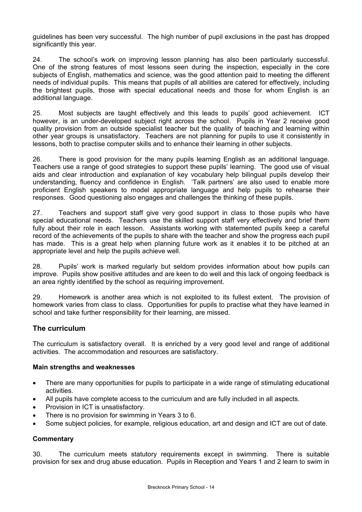guidelines has been very successful. The high number of pupil exclusions in the past has dropped significantly this year.

24. The school's work on improving lesson planning has also been particularly successful. One of the strong features of most lessons seen during the inspection, especially in the core subjects of English, mathematics and science, was the good attention paid to meeting the different needs of individual pupils. This means that pupils of all abilities are catered for effectively, including the brightest pupils, those with special educational needs and those for whom English is an additional language.

25. Most subjects are taught effectively and this leads to pupils' good achievement. ICT however, is an under-developed subject right across the school. Pupils in Year 2 receive good quality provision from an outside specialist teacher but the quality of teaching and learning within other year groups is unsatisfactory. Teachers are not planning for pupils to use it consistently in lessons, both to practise computer skills and to enhance their learning in other subjects.

26. There is good provision for the many pupils learning English as an additional language. Teachers use a range of good strategies to support these pupils' learning. The good use of visual aids and clear introduction and explanation of key vocabulary help bilingual pupils develop their understanding, fluency and confidence in English. 'Talk partners' are also used to enable more proficient English speakers to model appropriate language and help pupils to rehearse their responses. Good questioning also engages and challenges the thinking of these pupils.

27. Teachers and support staff give very good support in class to those pupils who have special educational needs. Teachers use the skilled support staff very effectively and brief them fully about their role in each lesson. Assistants working with statemented pupils keep a careful record of the achievements of the pupils to share with the teacher and show the progress each pupil has made. This is a great help when planning future work as it enables it to be pitched at an appropriate level and help the pupils achieve well.

28. Pupils' work is marked regularly but seldom provides information about how pupils can improve. Pupils show positive attitudes and are keen to do well and this lack of ongoing feedback is an area rightly identified by the school as requiring improvement.

29. Homework is another area which is not exploited to its fullest extent. The provision of homework varies from class to class. Opportunities for pupils to practise what they have learned in school and take further responsibility for their learning, are missed.

# **The curriculum**

The curriculum is satisfactory overall. It is enriched by a very good level and range of additional activities. The accommodation and resources are satisfactory.

#### **Main strengths and weaknesses**

- There are many opportunities for pupils to participate in a wide range of stimulating educational activities.
- All pupils have complete access to the curriculum and are fully included in all aspects.
- Provision in ICT is unsatisfactory.
- There is no provision for swimming in Years 3 to 6.
- Some subject policies, for example, religious education, art and design and ICT are out of date.

#### **Commentary**

30. The curriculum meets statutory requirements except in swimming. There is suitable provision for sex and drug abuse education. Pupils in Reception and Years 1 and 2 learn to swim in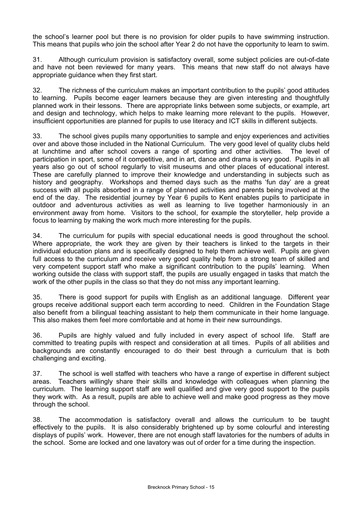the school's learner pool but there is no provision for older pupils to have swimming instruction. This means that pupils who join the school after Year 2 do not have the opportunity to learn to swim.

31. Although curriculum provision is satisfactory overall, some subject policies are out-of-date and have not been reviewed for many years. This means that new staff do not always have appropriate guidance when they first start.

32. The richness of the curriculum makes an important contribution to the pupils' good attitudes to learning. Pupils become eager learners because they are given interesting and thoughtfully planned work in their lessons. There are appropriate links between some subjects, or example, art and design and technology, which helps to make learning more relevant to the pupils. However, insufficient opportunities are planned for pupils to use literacy and ICT skills in different subjects.

33. The school gives pupils many opportunities to sample and enjoy experiences and activities over and above those included in the National Curriculum. The very good level of quality clubs held at lunchtime and after school covers a range of sporting and other activities. The level of participation in sport, some of it competitive, and in art, dance and drama is very good. Pupils in all years also go out of school regularly to visit museums and other places of educational interest. These are carefully planned to improve their knowledge and understanding in subjects such as history and geography. Workshops and themed days such as the maths 'fun day' are a great success with all pupils absorbed in a range of planned activities and parents being involved at the end of the day. The residential journey by Year 6 pupils to Kent enables pupils to participate in outdoor and adventurous activities as well as learning to live together harmoniously in an environment away from home. Visitors to the school, for example the storyteller, help provide a focus to learning by making the work much more interesting for the pupils.

34. The curriculum for pupils with special educational needs is good throughout the school. Where appropriate, the work they are given by their teachers is linked to the targets in their individual education plans and is specifically designed to help them achieve well. Pupils are given full access to the curriculum and receive very good quality help from a strong team of skilled and very competent support staff who make a significant contribution to the pupils' learning. When working outside the class with support staff, the pupils are usually engaged in tasks that match the work of the other pupils in the class so that they do not miss any important learning.

35. There is good support for pupils with English as an additional language. Different year groups receive additional support each term according to need. Children in the Foundation Stage also benefit from a bilingual teaching assistant to help them communicate in their home language. This also makes them feel more comfortable and at home in their new surroundings.

36. Pupils are highly valued and fully included in every aspect of school life. Staff are committed to treating pupils with respect and consideration at all times. Pupils of all abilities and backgrounds are constantly encouraged to do their best through a curriculum that is both challenging and exciting.

37. The school is well staffed with teachers who have a range of expertise in different subject areas. Teachers willingly share their skills and knowledge with colleagues when planning the curriculum. The learning support staff are well qualified and give very good support to the pupils they work with. As a result, pupils are able to achieve well and make good progress as they move through the school.

38. The accommodation is satisfactory overall and allows the curriculum to be taught effectively to the pupils. It is also considerably brightened up by some colourful and interesting displays of pupils' work. However, there are not enough staff lavatories for the numbers of adults in the school. Some are locked and one lavatory was out of order for a time during the inspection.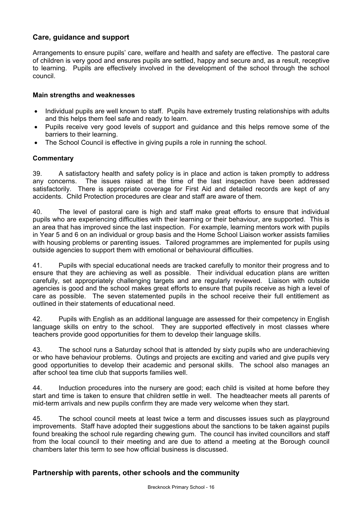# **Care, guidance and support**

Arrangements to ensure pupils' care, welfare and health and safety are effective. The pastoral care of children is very good and ensures pupils are settled, happy and secure and, as a result, receptive to learning. Pupils are effectively involved in the development of the school through the school council.

### **Main strengths and weaknesses**

- Individual pupils are well known to staff. Pupils have extremely trusting relationships with adults and this helps them feel safe and ready to learn.
- Pupils receive very good levels of support and guidance and this helps remove some of the barriers to their learning.
- The School Council is effective in giving pupils a role in running the school.

## **Commentary**

39. A satisfactory health and safety policy is in place and action is taken promptly to address any concerns. The issues raised at the time of the last inspection have been addressed satisfactorily. There is appropriate coverage for First Aid and detailed records are kept of any accidents. Child Protection procedures are clear and staff are aware of them.

40. The level of pastoral care is high and staff make great efforts to ensure that individual pupils who are experiencing difficulties with their learning or their behaviour, are supported. This is an area that has improved since the last inspection. For example, learning mentors work with pupils in Year 5 and 6 on an individual or group basis and the Home School Liaison worker assists families with housing problems or parenting issues. Tailored programmes are implemented for pupils using outside agencies to support them with emotional or behavioural difficulties.

41. Pupils with special educational needs are tracked carefully to monitor their progress and to ensure that they are achieving as well as possible. Their individual education plans are written carefully, set appropriately challenging targets and are regularly reviewed. Liaison with outside agencies is good and the school makes great efforts to ensure that pupils receive as high a level of care as possible. The seven statemented pupils in the school receive their full entitlement as outlined in their statements of educational need.

42. Pupils with English as an additional language are assessed for their competency in English language skills on entry to the school. They are supported effectively in most classes where teachers provide good opportunities for them to develop their language skills.

43. The school runs a Saturday school that is attended by sixty pupils who are underachieving or who have behaviour problems. Outings and projects are exciting and varied and give pupils very good opportunities to develop their academic and personal skills. The school also manages an after school tea time club that supports families well.

44. Induction procedures into the nursery are good; each child is visited at home before they start and time is taken to ensure that children settle in well. The headteacher meets all parents of mid-term arrivals and new pupils confirm they are made very welcome when they start.

45. The school council meets at least twice a term and discusses issues such as playground improvements. Staff have adopted their suggestions about the sanctions to be taken against pupils found breaking the school rule regarding chewing gum. The council has invited councillors and staff from the local council to their meeting and are due to attend a meeting at the Borough council chambers later this term to see how official business is discussed.

# **Partnership with parents, other schools and the community**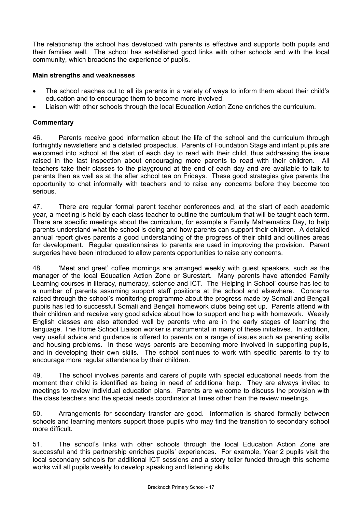The relationship the school has developed with parents is effective and supports both pupils and their families well. The school has established good links with other schools and with the local community, which broadens the experience of pupils.

### **Main strengths and weaknesses**

- The school reaches out to all its parents in a variety of ways to inform them about their child's education and to encourage them to become more involved.
- Liaison with other schools through the local Education Action Zone enriches the curriculum.

# **Commentary**

46. Parents receive good information about the life of the school and the curriculum through fortnightly newsletters and a detailed prospectus. Parents of Foundation Stage and infant pupils are welcomed into school at the start of each day to read with their child, thus addressing the issue raised in the last inspection about encouraging more parents to read with their children. All teachers take their classes to the playground at the end of each day and are available to talk to parents then as well as at the after school tea on Fridays. These good strategies give parents the opportunity to chat informally with teachers and to raise any concerns before they become too serious.

47. There are regular formal parent teacher conferences and, at the start of each academic year, a meeting is held by each class teacher to outline the curriculum that will be taught each term. There are specific meetings about the curriculum, for example a Family Mathematics Day, to help parents understand what the school is doing and how parents can support their children. A detailed annual report gives parents a good understanding of the progress of their child and outlines areas for development. Regular questionnaires to parents are used in improving the provision. Parent surgeries have been introduced to allow parents opportunities to raise any concerns.

48. 'Meet and greet' coffee mornings are arranged weekly with guest speakers, such as the manager of the local Education Action Zone or Surestart. Many parents have attended Family Learning courses in literacy, numeracy, science and ICT. The 'Helping in School' course has led to a number of parents assuming support staff positions at the school and elsewhere. Concerns raised through the school's monitoring programme about the progress made by Somali and Bengali pupils has led to successful Somali and Bengali homework clubs being set up. Parents attend with their children and receive very good advice about how to support and help with homework. Weekly English classes are also attended well by parents who are in the early stages of learning the language. The Home School Liaison worker is instrumental in many of these initiatives. In addition, very useful advice and guidance is offered to parents on a range of issues such as parenting skills and housing problems. In these ways parents are becoming more involved in supporting pupils, and in developing their own skills. The school continues to work with specific parents to try to encourage more regular attendance by their children.

49. The school involves parents and carers of pupils with special educational needs from the moment their child is identified as being in need of additional help. They are always invited to meetings to review individual education plans. Parents are welcome to discuss the provision with the class teachers and the special needs coordinator at times other than the review meetings.

50. Arrangements for secondary transfer are good. Information is shared formally between schools and learning mentors support those pupils who may find the transition to secondary school more difficult.

51. The school's links with other schools through the local Education Action Zone are successful and this partnership enriches pupils' experiences. For example, Year 2 pupils visit the local secondary schools for additional ICT sessions and a story teller funded through this scheme works will all pupils weekly to develop speaking and listening skills.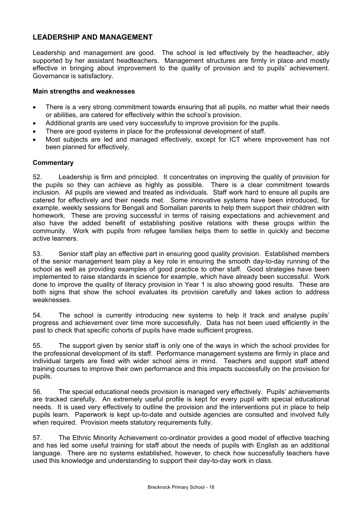# **LEADERSHIP AND MANAGEMENT**

Leadership and management are good. The school is led effectively by the headteacher, ably supported by her assistant headteachers. Management structures are firmly in place and mostly effective in bringing about improvement to the quality of provision and to pupils' achievement. Governance is satisfactory.

#### **Main strengths and weaknesses**

- There is a very strong commitment towards ensuring that all pupils, no matter what their needs or abilities, are catered for effectively within the school's provision.
- Additional grants are used very successfully to improve provision for the pupils.
- There are good systems in place for the professional development of staff.
- Most subjects are led and managed effectively, except for ICT where improvement has not been planned for effectively.

#### **Commentary**

52. Leadership is firm and principled. It concentrates on improving the quality of provision for the pupils so they can achieve as highly as possible. There is a clear commitment towards inclusion. All pupils are viewed and treated as individuals. Staff work hard to ensure all pupils are catered for effectively and their needs met. Some innovative systems have been introduced, for example, weekly sessions for Bengali and Somalian parents to help them support their children with homework. These are proving successful in terms of raising expectations and achievement and also have the added benefit of establishing positive relations with these groups within the community. Work with pupils from refugee families helps them to settle in quickly and become active learners.

53. Senior staff play an effective part in ensuring good quality provision. Established members of the senior management team play a key role in ensuring the smooth day-to-day running of the school as well as providing examples of good practice to other staff. Good strategies have been implemented to raise standards in science for example, which have already been successful. Work done to improve the quality of literacy provision in Year 1 is also showing good results. These are both signs that show the school evaluates its provision carefully and takes action to address weaknesses.

54. The school is currently introducing new systems to help it track and analyse pupils' progress and achievement over time more successfully. Data has not been used efficiently in the past to check that specific cohorts of pupils have made sufficient progress.

55. The support given by senior staff is only one of the ways in which the school provides for the professional development of its staff. Performance management systems are firmly in place and individual targets are fixed with wider school aims in mind. Teachers and support staff attend training courses to improve their own performance and this impacts successfully on the provision for pupils.

56. The special educational needs provision is managed very effectively. Pupils' achievements are tracked carefully. An extremely useful profile is kept for every pupil with special educational needs. It is used very effectively to outline the provision and the interventions put in place to help pupils learn. Paperwork is kept up-to-date and outside agencies are consulted and involved fully when required. Provision meets statutory requirements fully.

57. The Ethnic Minority Achievement co-ordinator provides a good model of effective teaching and has led some useful training for staff about the needs of pupils with English as an additional language. There are no systems established, however, to check how successfully teachers have used this knowledge and understanding to support their day-to-day work in class.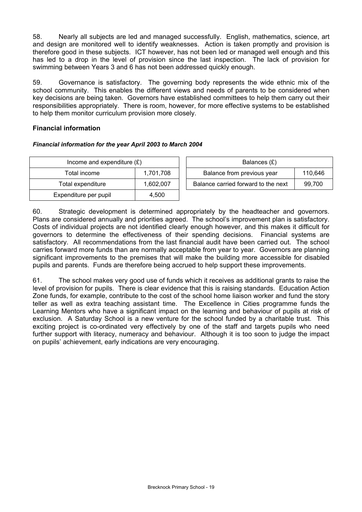58. Nearly all subjects are led and managed successfully. English, mathematics, science, art and design are monitored well to identify weaknesses. Action is taken promptly and provision is therefore good in these subjects. ICT however, has not been led or managed well enough and this has led to a drop in the level of provision since the last inspection. The lack of provision for swimming between Years 3 and 6 has not been addressed quickly enough.

59. Governance is satisfactory. The governing body represents the wide ethnic mix of the school community. This enables the different views and needs of parents to be considered when key decisions are being taken. Governors have established committees to help them carry out their responsibilities appropriately. There is room, however, for more effective systems to be established to help them monitor curriculum provision more closely.

#### **Financial information**

## *Financial information for the year April 2003 to March 2004*

| Income and expenditure $(E)$ |           |  | Balances $(E)$                   |
|------------------------------|-----------|--|----------------------------------|
| Total income                 | 1,701,708 |  | Balance from previous year       |
| Total expenditure            | 1.602.007 |  | Balance carried forward to the r |
| Expenditure per pupil        | 4.500     |  |                                  |

| Income and expenditure $(E)$ |           | Balances (£)                        |         |
|------------------------------|-----------|-------------------------------------|---------|
| Total income                 | 1.701.708 | Balance from previous year          | 110.646 |
| Total expenditure            | 1.602.007 | Balance carried forward to the next | 99.700  |

60. Strategic development is determined appropriately by the headteacher and governors. Plans are considered annually and priorities agreed. The school's improvement plan is satisfactory. Costs of individual projects are not identified clearly enough however, and this makes it difficult for governors to determine the effectiveness of their spending decisions. Financial systems are satisfactory. All recommendations from the last financial audit have been carried out. The school carries forward more funds than are normally acceptable from year to year. Governors are planning significant improvements to the premises that will make the building more accessible for disabled pupils and parents. Funds are therefore being accrued to help support these improvements.

61. The school makes very good use of funds which it receives as additional grants to raise the level of provision for pupils. There is clear evidence that this is raising standards. Education Action Zone funds, for example, contribute to the cost of the school home liaison worker and fund the story teller as well as extra teaching assistant time. The Excellence in Cities programme funds the Learning Mentors who have a significant impact on the learning and behaviour of pupils at risk of exclusion. A Saturday School is a new venture for the school funded by a charitable trust. This exciting project is co-ordinated very effectively by one of the staff and targets pupils who need further support with literacy, numeracy and behaviour. Although it is too soon to judge the impact on pupils' achievement, early indications are very encouraging.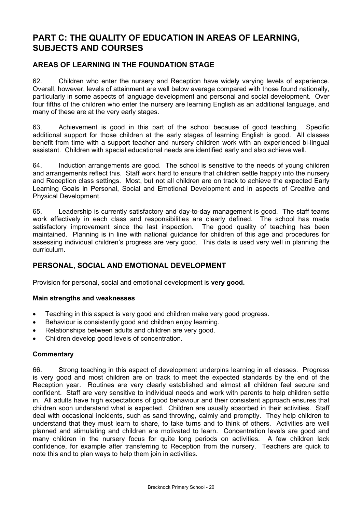# **PART C: THE QUALITY OF EDUCATION IN AREAS OF LEARNING, SUBJECTS AND COURSES**

# **AREAS OF LEARNING IN THE FOUNDATION STAGE**

62. Children who enter the nursery and Reception have widely varying levels of experience. Overall, however, levels of attainment are well below average compared with those found nationally, particularly in some aspects of language development and personal and social development. Over four fifths of the children who enter the nursery are learning English as an additional language, and many of these are at the very early stages.

63. Achievement is good in this part of the school because of good teaching. Specific additional support for those children at the early stages of learning English is good. All classes benefit from time with a support teacher and nursery children work with an experienced bi-lingual assistant. Children with special educational needs are identified early and also achieve well.

64. Induction arrangements are good. The school is sensitive to the needs of young children and arrangements reflect this. Staff work hard to ensure that children settle happily into the nursery and Reception class settings. Most, but not all children are on track to achieve the expected Early Learning Goals in Personal, Social and Emotional Development and in aspects of Creative and Physical Development.

65. Leadership is currently satisfactory and day-to-day management is good. The staff teams work effectively in each class and responsibilities are clearly defined. The school has made satisfactory improvement since the last inspection. The good quality of teaching has been maintained. Planning is in line with national guidance for children of this age and procedures for assessing individual children's progress are very good. This data is used very well in planning the curriculum.

# **PERSONAL, SOCIAL AND EMOTIONAL DEVELOPMENT**

Provision for personal, social and emotional development is **very good.**

#### **Main strengths and weaknesses**

- Teaching in this aspect is very good and children make very good progress.
- Behaviour is consistently good and children enjoy learning.
- Relationships between adults and children are very good.
- Children develop good levels of concentration.

#### **Commentary**

66. Strong teaching in this aspect of development underpins learning in all classes. Progress is very good and most children are on track to meet the expected standards by the end of the Reception year. Routines are very clearly established and almost all children feel secure and confident. Staff are very sensitive to individual needs and work with parents to help children settle in. All adults have high expectations of good behaviour and their consistent approach ensures that children soon understand what is expected. Children are usually absorbed in their activities. Staff deal with occasional incidents, such as sand throwing, calmly and promptly. They help children to understand that they must learn to share, to take turns and to think of others. Activities are well planned and stimulating and children are motivated to learn. Concentration levels are good and many children in the nursery focus for quite long periods on activities. A few children lack confidence, for example after transferring to Reception from the nursery. Teachers are quick to note this and to plan ways to help them join in activities.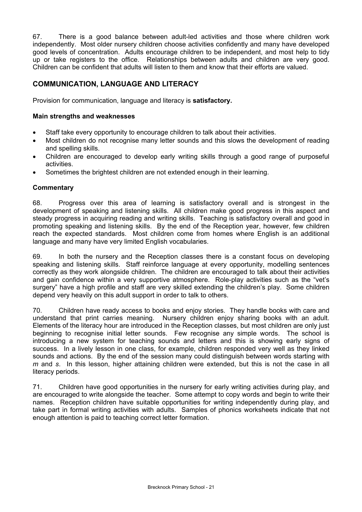67. There is a good balance between adult-led activities and those where children work independently. Most older nursery children choose activities confidently and many have developed good levels of concentration. Adults encourage children to be independent, and most help to tidy up or take registers to the office. Relationships between adults and children are very good. Children can be confident that adults will listen to them and know that their efforts are valued.

# **COMMUNICATION, LANGUAGE AND LITERACY**

Provision for communication, language and literacy is **satisfactory.** 

#### **Main strengths and weaknesses**

- Staff take every opportunity to encourage children to talk about their activities.
- Most children do not recognise many letter sounds and this slows the development of reading and spelling skills.
- Children are encouraged to develop early writing skills through a good range of purposeful activities.
- Sometimes the brightest children are not extended enough in their learning.

#### **Commentary**

68. Progress over this area of learning is satisfactory overall and is strongest in the development of speaking and listening skills. All children make good progress in this aspect and steady progress in acquiring reading and writing skills. Teaching is satisfactory overall and good in promoting speaking and listening skills. By the end of the Reception year, however, few children reach the expected standards. Most children come from homes where English is an additional language and many have very limited English vocabularies.

69. In both the nursery and the Reception classes there is a constant focus on developing speaking and listening skills. Staff reinforce language at every opportunity, modelling sentences correctly as they work alongside children. The children are encouraged to talk about their activities and gain confidence within a very supportive atmosphere. Role-play activities such as the "vet's surgery" have a high profile and staff are very skilled extending the children's play. Some children depend very heavily on this adult support in order to talk to others.

70. Children have ready access to books and enjoy stories. They handle books with care and understand that print carries meaning. Nursery children enjoy sharing books with an adult. Elements of the literacy hour are introduced in the Reception classes, but most children are only just beginning to recognise initial letter sounds. Few recognise any simple words. The school is introducing a new system for teaching sounds and letters and this is showing early signs of success. In a lively lesson in one class, for example, children responded very well as they linked sounds and actions. By the end of the session many could distinguish between words starting with *m* and *s*. In this lesson, higher attaining children were extended, but this is not the case in all literacy periods.

71. Children have good opportunities in the nursery for early writing activities during play, and are encouraged to write alongside the teacher. Some attempt to copy words and begin to write their names. Reception children have suitable opportunities for writing independently during play, and take part in formal writing activities with adults. Samples of phonics worksheets indicate that not enough attention is paid to teaching correct letter formation.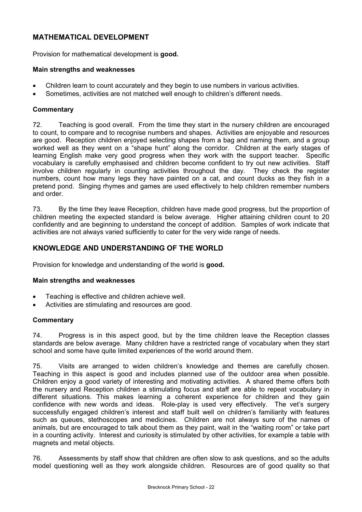# **MATHEMATICAL DEVELOPMENT**

Provision for mathematical development is **good.** 

#### **Main strengths and weaknesses**

- Children learn to count accurately and they begin to use numbers in various activities.
- Sometimes, activities are not matched well enough to children's different needs.

#### **Commentary**

72. Teaching is good overall. From the time they start in the nursery children are encouraged to count, to compare and to recognise numbers and shapes. Activities are enjoyable and resources are good. Reception children enjoyed selecting shapes from a bag and naming them, and a group worked well as they went on a "shape hunt" along the corridor. Children at the early stages of learning English make very good progress when they work with the support teacher. Specific vocabulary is carefully emphasised and children become confident to try out new activities. Staff involve children regularly in counting activities throughout the day. They check the register numbers, count how many legs they have painted on a cat, and count ducks as they fish in a pretend pond. Singing rhymes and games are used effectively to help children remember numbers and order.

73. By the time they leave Reception, children have made good progress, but the proportion of children meeting the expected standard is below average. Higher attaining children count to 20 confidently and are beginning to understand the concept of addition. Samples of work indicate that activities are not always varied sufficiently to cater for the very wide range of needs.

## **KNOWLEDGE AND UNDERSTANDING OF THE WORLD**

Provision for knowledge and understanding of the world is **good.**

#### **Main strengths and weaknesses**

- Teaching is effective and children achieve well.
- Activities are stimulating and resources are good.

#### **Commentary**

74. Progress is in this aspect good, but by the time children leave the Reception classes standards are below average. Many children have a restricted range of vocabulary when they start school and some have quite limited experiences of the world around them.

75. Visits are arranged to widen children's knowledge and themes are carefully chosen. Teaching in this aspect is good and includes planned use of the outdoor area when possible. Children enjoy a good variety of interesting and motivating activities. A shared theme offers both the nursery and Reception children a stimulating focus and staff are able to repeat vocabulary in different situations. This makes learning a coherent experience for children and they gain confidence with new words and ideas. Role-play is used very effectively. The vet's surgery successfully engaged children's interest and staff built well on children's familiarity with features such as queues, stethoscopes and medicines. Children are not always sure of the names of animals, but are encouraged to talk about them as they paint, wait in the "waiting room" or take part in a counting activity. Interest and curiosity is stimulated by other activities, for example a table with magnets and metal objects.

76. Assessments by staff show that children are often slow to ask questions, and so the adults model questioning well as they work alongside children. Resources are of good quality so that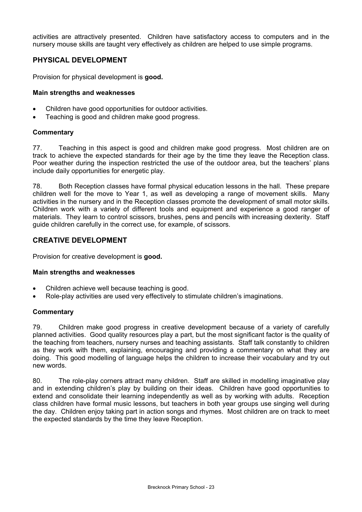activities are attractively presented. Children have satisfactory access to computers and in the nursery mouse skills are taught very effectively as children are helped to use simple programs.

# **PHYSICAL DEVELOPMENT**

Provision for physical development is **good.** 

#### **Main strengths and weaknesses**

- Children have good opportunities for outdoor activities.
- Teaching is good and children make good progress.

#### **Commentary**

77. Teaching in this aspect is good and children make good progress. Most children are on track to achieve the expected standards for their age by the time they leave the Reception class. Poor weather during the inspection restricted the use of the outdoor area, but the teachers' plans include daily opportunities for energetic play.

78. Both Reception classes have formal physical education lessons in the hall. These prepare children well for the move to Year 1, as well as developing a range of movement skills. Many activities in the nursery and in the Reception classes promote the development of small motor skills. Children work with a variety of different tools and equipment and experience a good ranger of materials. They learn to control scissors, brushes, pens and pencils with increasing dexterity. Staff guide children carefully in the correct use, for example, of scissors.

# **CREATIVE DEVELOPMENT**

Provision for creative development is **good.** 

#### **Main strengths and weaknesses**

- Children achieve well because teaching is good.
- Role-play activities are used very effectively to stimulate children's imaginations.

#### **Commentary**

79. Children make good progress in creative development because of a variety of carefully planned activities. Good quality resources play a part, but the most significant factor is the quality of the teaching from teachers, nursery nurses and teaching assistants. Staff talk constantly to children as they work with them, explaining, encouraging and providing a commentary on what they are doing. This good modelling of language helps the children to increase their vocabulary and try out new words.

80. The role-play corners attract many children. Staff are skilled in modelling imaginative play and in extending children's play by building on their ideas. Children have good opportunities to extend and consolidate their learning independently as well as by working with adults. Reception class children have formal music lessons, but teachers in both year groups use singing well during the day. Children enjoy taking part in action songs and rhymes. Most children are on track to meet the expected standards by the time they leave Reception.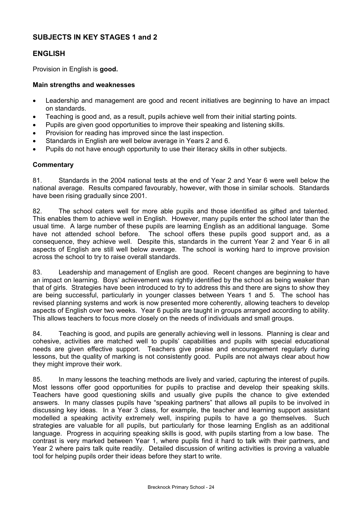# **SUBJECTS IN KEY STAGES 1 and 2**

# **ENGLISH**

Provision in English is **good.** 

#### **Main strengths and weaknesses**

- Leadership and management are good and recent initiatives are beginning to have an impact on standards.
- Teaching is good and, as a result, pupils achieve well from their initial starting points.
- Pupils are given good opportunities to improve their speaking and listening skills.
- Provision for reading has improved since the last inspection.
- Standards in English are well below average in Years 2 and 6.
- Pupils do not have enough opportunity to use their literacy skills in other subiects.

#### **Commentary**

81. Standards in the 2004 national tests at the end of Year 2 and Year 6 were well below the national average. Results compared favourably, however, with those in similar schools. Standards have been rising gradually since 2001.

82. The school caters well for more able pupils and those identified as gifted and talented. This enables them to achieve well in English. However, many pupils enter the school later than the usual time. A large number of these pupils are learning English as an additional language. Some have not attended school before. The school offers these pupils good support and, as a consequence, they achieve well. Despite this, standards in the current Year 2 and Year 6 in all aspects of English are still well below average. The school is working hard to improve provision across the school to try to raise overall standards.

83. Leadership and management of English are good. Recent changes are beginning to have an impact on learning. Boys' achievement was rightly identified by the school as being weaker than that of girls. Strategies have been introduced to try to address this and there are signs to show they are being successful, particularly in younger classes between Years 1 and 5. The school has revised planning systems and work is now presented more coherently, allowing teachers to develop aspects of English over two weeks. Year 6 pupils are taught in groups arranged according to ability. This allows teachers to focus more closely on the needs of individuals and small groups.

84. Teaching is good, and pupils are generally achieving well in lessons. Planning is clear and cohesive, activities are matched well to pupils' capabilities and pupils with special educational needs are given effective support. Teachers give praise and encouragement regularly during lessons, but the quality of marking is not consistently good. Pupils are not always clear about how they might improve their work.

85. In many lessons the teaching methods are lively and varied, capturing the interest of pupils. Most lessons offer good opportunities for pupils to practise and develop their speaking skills. Teachers have good questioning skills and usually give pupils the chance to give extended answers. In many classes pupils have "speaking partners" that allows all pupils to be involved in discussing key ideas. In a Year 3 class, for example, the teacher and learning support assistant modelled a speaking activity extremely well, inspiring pupils to have a go themselves. Such strategies are valuable for all pupils, but particularly for those learning English as an additional language. Progress in acquiring speaking skills is good, with pupils starting from a low base. The contrast is very marked between Year 1, where pupils find it hard to talk with their partners, and Year 2 where pairs talk quite readily. Detailed discussion of writing activities is proving a valuable tool for helping pupils order their ideas before they start to write.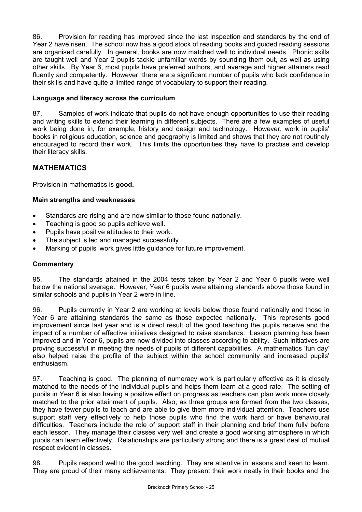86. Provision for reading has improved since the last inspection and standards by the end of Year 2 have risen. The school now has a good stock of reading books and guided reading sessions are organised carefully. In general, books are now matched well to individual needs. Phonic skills are taught well and Year 2 pupils tackle unfamiliar words by sounding them out, as well as using other skills. By Year 6, most pupils have preferred authors, and average and higher attainers read fluently and competently. However, there are a significant number of pupils who lack confidence in their skills and have quite a limited range of vocabulary to support their reading.

# **Language and literacy across the curriculum**

87. Samples of work indicate that pupils do not have enough opportunities to use their reading and writing skills to extend their learning in different subjects. There are a few examples of useful work being done in, for example, history and design and technology. However, work in pupils' books in religious education, science and geography is limited and shows that they are not routinely encouraged to record their work. This limits the opportunities they have to practise and develop their literacy skills.

# **MATHEMATICS**

Provision in mathematics is **good.** 

## **Main strengths and weaknesses**

- Standards are rising and are now similar to those found nationally.
- Teaching is good so pupils achieve well.
- Pupils have positive attitudes to their work.
- The subject is led and managed successfully.
- Marking of pupils' work gives little guidance for future improvement.

#### **Commentary**

95. The standards attained in the 2004 tests taken by Year 2 and Year 6 pupils were well below the national average. However, Year 6 pupils were attaining standards above those found in similar schools and pupils in Year 2 were in line.

96. Pupils currently in Year 2 are working at levels below those found nationally and those in Year 6 are attaining standards the same as those expected nationally. This represents good improvement since last year and is a direct result of the good teaching the pupils receive and the impact of a number of effective initiatives designed to raise standards. Lesson planning has been improved and in Year 6, pupils are now divided into classes according to ability. Such initiatives are proving successful in meeting the needs of pupils of different capabilities. A mathematics 'fun day' also helped raise the profile of the subject within the school community and increased pupils' enthusiasm.

97. Teaching is good. The planning of numeracy work is particularly effective as it is closely matched to the needs of the individual pupils and helps them learn at a good rate. The setting of pupils in Year 6 is also having a positive effect on progress as teachers can plan work more closely matched to the prior attainment of pupils. Also, as three groups are formed from the two classes, they have fewer pupils to teach and are able to give them more individual attention. Teachers use support staff very effectively to help those pupils who find the work hard or have behavioural difficulties. Teachers include the role of support staff in their planning and brief them fully before each lesson. They manage their classes very well and create a good working atmosphere in which pupils can learn effectively. Relationships are particularly strong and there is a great deal of mutual respect evident in classes.

98. Pupils respond well to the good teaching. They are attentive in lessons and keen to learn. They are proud of their many achievements. They present their work neatly in their books and the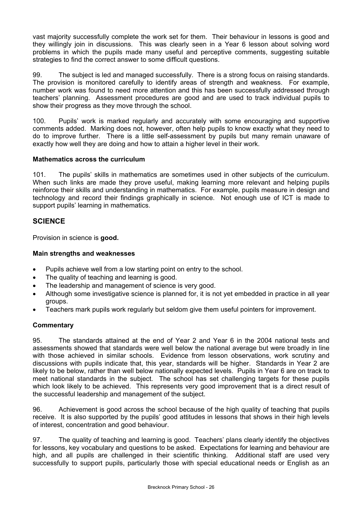vast majority successfully complete the work set for them. Their behaviour in lessons is good and they willingly join in discussions. This was clearly seen in a Year 6 lesson about solving word problems in which the pupils made many useful and perceptive comments, suggesting suitable strategies to find the correct answer to some difficult questions.

99. The subject is led and managed successfully. There is a strong focus on raising standards. The provision is monitored carefully to identify areas of strength and weakness. For example, number work was found to need more attention and this has been successfully addressed through teachers' planning. Assessment procedures are good and are used to track individual pupils to show their progress as they move through the school.

100. Pupils' work is marked regularly and accurately with some encouraging and supportive comments added. Marking does not, however, often help pupils to know exactly what they need to do to improve further. There is a little self-assessment by pupils but many remain unaware of exactly how well they are doing and how to attain a higher level in their work.

## **Mathematics across the curriculum**

101. The pupils' skills in mathematics are sometimes used in other subjects of the curriculum. When such links are made they prove useful, making learning more relevant and helping pupils reinforce their skills and understanding in mathematics. For example, pupils measure in design and technology and record their findings graphically in science. Not enough use of ICT is made to support pupils' learning in mathematics.

# **SCIENCE**

Provision in science is **good.** 

## **Main strengths and weaknesses**

- Pupils achieve well from a low starting point on entry to the school.
- The quality of teaching and learning is good.
- The leadership and management of science is very good.
- Although some investigative science is planned for, it is not yet embedded in practice in all year groups.
- Teachers mark pupils work regularly but seldom give them useful pointers for improvement.

#### **Commentary**

95. The standards attained at the end of Year 2 and Year 6 in the 2004 national tests and assessments showed that standards were well below the national average but were broadly in line with those achieved in similar schools. Evidence from lesson observations, work scrutiny and discussions with pupils indicate that, this year, standards will be higher. Standards in Year 2 are likely to be below, rather than well below nationally expected levels. Pupils in Year 6 are on track to meet national standards in the subject. The school has set challenging targets for these pupils which look likely to be achieved. This represents very good improvement that is a direct result of the successful leadership and management of the subject.

96. Achievement is good across the school because of the high quality of teaching that pupils receive. It is also supported by the pupils' good attitudes in lessons that shows in their high levels of interest, concentration and good behaviour.

97. The quality of teaching and learning is good. Teachers' plans clearly identify the objectives for lessons, key vocabulary and questions to be asked. Expectations for learning and behaviour are high, and all pupils are challenged in their scientific thinking. Additional staff are used very successfully to support pupils, particularly those with special educational needs or English as an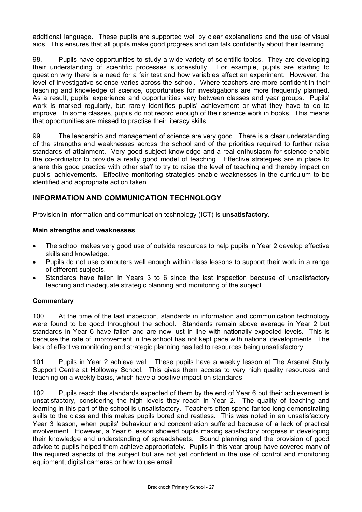additional language. These pupils are supported well by clear explanations and the use of visual aids. This ensures that all pupils make good progress and can talk confidently about their learning.

98. Pupils have opportunities to study a wide variety of scientific topics. They are developing their understanding of scientific processes successfully. For example, pupils are starting to question why there is a need for a fair test and how variables affect an experiment. However, the level of investigative science varies across the school. Where teachers are more confident in their teaching and knowledge of science, opportunities for investigations are more frequently planned. As a result, pupils' experience and opportunities vary between classes and year groups. Pupils' work is marked regularly, but rarely identifies pupils' achievement or what they have to do to improve. In some classes, pupils do not record enough of their science work in books. This means that opportunities are missed to practise their literacy skills.

99. The leadership and management of science are very good. There is a clear understanding of the strengths and weaknesses across the school and of the priorities required to further raise standards of attainment. Very good subject knowledge and a real enthusiasm for science enable the co-ordinator to provide a really good model of teaching. Effective strategies are in place to share this good practice with other staff to try to raise the level of teaching and thereby impact on pupils' achievements. Effective monitoring strategies enable weaknesses in the curriculum to be identified and appropriate action taken.

# **INFORMATION AND COMMUNICATION TECHNOLOGY**

Provision in information and communication technology (ICT) is **unsatisfactory.**

#### **Main strengths and weaknesses**

- The school makes very good use of outside resources to help pupils in Year 2 develop effective skills and knowledge.
- Pupils do not use computers well enough within class lessons to support their work in a range of different subjects.
- Standards have fallen in Years 3 to 6 since the last inspection because of unsatisfactory teaching and inadequate strategic planning and monitoring of the subject.

#### **Commentary**

100. At the time of the last inspection, standards in information and communication technology were found to be good throughout the school. Standards remain above average in Year 2 but standards in Year 6 have fallen and are now just in line with nationally expected levels. This is because the rate of improvement in the school has not kept pace with national developments. The lack of effective monitoring and strategic planning has led to resources being unsatisfactory.

101. Pupils in Year 2 achieve well. These pupils have a weekly lesson at The Arsenal Study Support Centre at Holloway School. This gives them access to very high quality resources and teaching on a weekly basis, which have a positive impact on standards.

102. Pupils reach the standards expected of them by the end of Year 6 but their achievement is unsatisfactory, considering the high levels they reach in Year 2. The quality of teaching and learning in this part of the school is unsatisfactory. Teachers often spend far too long demonstrating skills to the class and this makes pupils bored and restless. This was noted in an unsatisfactory Year 3 lesson, when pupils' behaviour and concentration suffered because of a lack of practical involvement. However, a Year 6 lesson showed pupils making satisfactory progress in developing their knowledge and understanding of spreadsheets. Sound planning and the provision of good advice to pupils helped them achieve appropriately. Pupils in this year group have covered many of the required aspects of the subject but are not yet confident in the use of control and monitoring equipment, digital cameras or how to use email.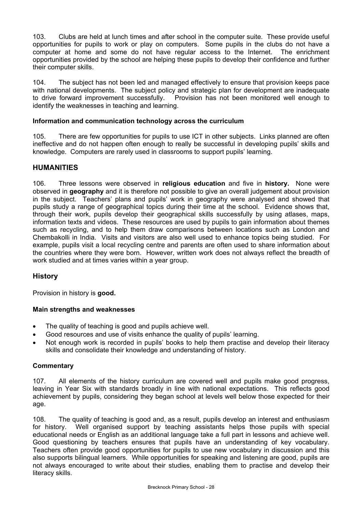103. Clubs are held at lunch times and after school in the computer suite. These provide useful opportunities for pupils to work or play on computers. Some pupils in the clubs do not have a computer at home and some do not have regular access to the Internet. The enrichment opportunities provided by the school are helping these pupils to develop their confidence and further their computer skills.

104. The subject has not been led and managed effectively to ensure that provision keeps pace with national developments. The subject policy and strategic plan for development are inadequate to drive forward improvement successfully. Provision has not been monitored well enough to identify the weaknesses in teaching and learning.

#### **Information and communication technology across the curriculum**

105. There are few opportunities for pupils to use ICT in other subjects. Links planned are often ineffective and do not happen often enough to really be successful in developing pupils' skills and knowledge. Computers are rarely used in classrooms to support pupils' learning.

# **HUMANITIES**

106. Three lessons were observed in **religious education** and five in **history.** None were observed in **geography** and it is therefore not possible to give an overall judgement about provision in the subject. Teachers' plans and pupils' work in geography were analysed and showed that pupils study a range of geographical topics during their time at the school. Evidence shows that, through their work, pupils develop their geographical skills successfully by using atlases, maps, information texts and videos. These resources are used by pupils to gain information about themes such as recycling, and to help them draw comparisons between locations such as London and Chembakolli in India. Visits and visitors are also well used to enhance topics being studied. For example, pupils visit a local recycling centre and parents are often used to share information about the countries where they were born. However, written work does not always reflect the breadth of work studied and at times varies within a year group.

# **History**

Provision in history is **good.**

#### **Main strengths and weaknesses**

- The quality of teaching is good and pupils achieve well.
- Good resources and use of visits enhance the quality of pupils' learning.
- Not enough work is recorded in pupils' books to help them practise and develop their literacy skills and consolidate their knowledge and understanding of history.

#### **Commentary**

107. All elements of the history curriculum are covered well and pupils make good progress, leaving in Year Six with standards broadly in line with national expectations. This reflects good achievement by pupils, considering they began school at levels well below those expected for their age.

108. The quality of teaching is good and, as a result, pupils develop an interest and enthusiasm for history. Well organised support by teaching assistants helps those pupils with special educational needs or English as an additional language take a full part in lessons and achieve well. Good questioning by teachers ensures that pupils have an understanding of key vocabulary. Teachers often provide good opportunities for pupils to use new vocabulary in discussion and this also supports bilingual learners. While opportunities for speaking and listening are good, pupils are not always encouraged to write about their studies, enabling them to practise and develop their literacy skills.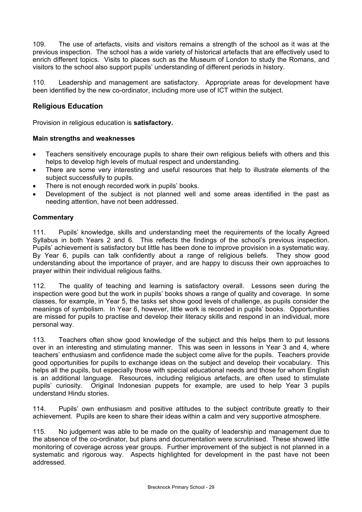109. The use of artefacts, visits and visitors remains a strength of the school as it was at the previous inspection. The school has a wide variety of historical artefacts that are effectively used to enrich different topics. Visits to places such as the Museum of London to study the Romans, and visitors to the school also support pupils' understanding of different periods in history.

110. Leadership and management are satisfactory. Appropriate areas for development have been identified by the new co-ordinator, including more use of ICT within the subject.

# **Religious Education**

Provision in religious education is **satisfactory.** 

#### **Main strengths and weaknesses**

- Teachers sensitively encourage pupils to share their own religious beliefs with others and this helps to develop high levels of mutual respect and understanding.
- There are some very interesting and useful resources that help to illustrate elements of the subject successfully to pupils.
- There is not enough recorded work in pupils' books.
- Development of the subject is not planned well and some areas identified in the past as needing attention, have not been addressed.

#### **Commentary**

111. Pupils' knowledge, skills and understanding meet the requirements of the locally Agreed Syllabus in both Years 2 and 6. This reflects the findings of the school's previous inspection. Pupils' achievement is satisfactory but little has been done to improve provision in a systematic way. By Year 6, pupils can talk confidently about a range of religious beliefs. They show good understanding about the importance of prayer, and are happy to discuss their own approaches to prayer within their individual religious faiths.

112. The quality of teaching and learning is satisfactory overall. Lessons seen during the inspection were good but the work in pupils' books shows a range of quality and coverage. In some classes, for example, in Year 5, the tasks set show good levels of challenge, as pupils consider the meanings of symbolism. In Year 6, however, little work is recorded in pupils' books. Opportunities are missed for pupils to practise and develop their literacy skills and respond in an individual, more personal way.

113. Teachers often show good knowledge of the subject and this helps them to put lessons over in an interesting and stimulating manner. This was seen in lessons in Year 3 and 4, where teachers' enthusiasm and confidence made the subject come alive for the pupils. Teachers provide good opportunities for pupils to exchange ideas on the subject and develop their vocabulary. This helps all the pupils, but especially those with special educational needs and those for whom English is an additional language. Resources, including religious artefacts, are often used to stimulate pupils' curiosity. Original Indonesian puppets for example, are used to help Year 3 pupils understand Hindu stories.

114. Pupils' own enthusiasm and positive attitudes to the subject contribute greatly to their achievement. Pupils are keen to share their ideas within a calm and very supportive atmosphere.

115. No judgement was able to be made on the quality of leadership and management due to the absence of the co-ordinator, but plans and documentation were scrutinised. These showed little monitoring of coverage across year groups. Further improvement of the subject is not planned in a systematic and rigorous way. Aspects highlighted for development in the past have not been addressed.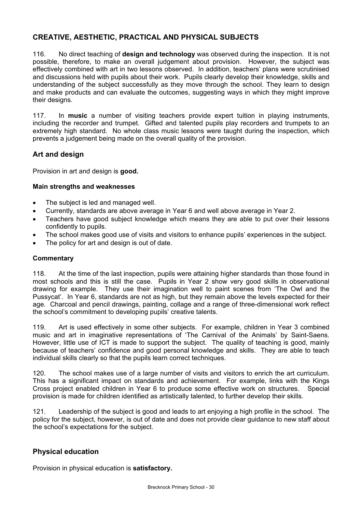# **CREATIVE, AESTHETIC, PRACTICAL AND PHYSICAL SUBJECTS**

116. No direct teaching of **design and technology** was observed during the inspection. It is not possible, therefore, to make an overall judgement about provision. However, the subject was effectively combined with art in two lessons observed. In addition, teachers' plans were scrutinised and discussions held with pupils about their work. Pupils clearly develop their knowledge, skills and understanding of the subject successfully as they move through the school. They learn to design and make products and can evaluate the outcomes, suggesting ways in which they might improve their designs.

117. In **music** a number of visiting teachers provide expert tuition in playing instruments, including the recorder and trumpet. Gifted and talented pupils play recorders and trumpets to an extremely high standard. No whole class music lessons were taught during the inspection, which prevents a judgement being made on the overall quality of the provision.

# **Art and design**

Provision in art and design is **good.** 

#### **Main strengths and weaknesses**

- The subject is led and managed well.
- Currently, standards are above average in Year 6 and well above average in Year 2.
- Teachers have good subject knowledge which means they are able to put over their lessons confidently to pupils.
- The school makes good use of visits and visitors to enhance pupils' experiences in the subject.
- The policy for art and design is out of date.

#### **Commentary**

118. At the time of the last inspection, pupils were attaining higher standards than those found in most schools and this is still the case. Pupils in Year 2 show very good skills in observational drawing for example. They use their imagination well to paint scenes from 'The Owl and the Pussycat'. In Year 6, standards are not as high, but they remain above the levels expected for their age. Charcoal and pencil drawings, painting, collage and a range of three-dimensional work reflect the school's commitment to developing pupils' creative talents.

119. Art is used effectively in some other subjects. For example, children in Year 3 combined music and art in imaginative representations of 'The Carnival of the Animals' by Saint-Saens. However, little use of ICT is made to support the subject. The quality of teaching is good, mainly because of teachers' confidence and good personal knowledge and skills. They are able to teach individual skills clearly so that the pupils learn correct techniques.

120. The school makes use of a large number of visits and visitors to enrich the art curriculum. This has a significant impact on standards and achievement. For example, links with the Kings Cross project enabled children in Year 6 to produce some effective work on structures. Special provision is made for children identified as artistically talented, to further develop their skills.

121. Leadership of the subject is good and leads to art enjoying a high profile in the school. The policy for the subject, however, is out of date and does not provide clear guidance to new staff about the school's expectations for the subject.

# **Physical education**

Provision in physical education is **satisfactory.**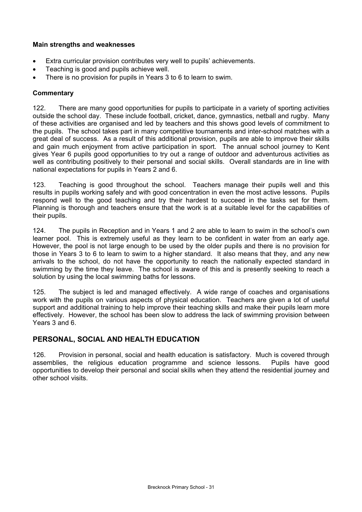### **Main strengths and weaknesses**

- Extra curricular provision contributes very well to pupils' achievements.
- Teaching is good and pupils achieve well.
- There is no provision for pupils in Years 3 to 6 to learn to swim.

# **Commentary**

122. There are many good opportunities for pupils to participate in a variety of sporting activities outside the school day. These include football, cricket, dance, gymnastics, netball and rugby. Many of these activities are organised and led by teachers and this shows good levels of commitment to the pupils. The school takes part in many competitive tournaments and inter-school matches with a great deal of success. As a result of this additional provision, pupils are able to improve their skills and gain much enjoyment from active participation in sport. The annual school journey to Kent gives Year 6 pupils good opportunities to try out a range of outdoor and adventurous activities as well as contributing positively to their personal and social skills. Overall standards are in line with national expectations for pupils in Years 2 and 6.

123. Teaching is good throughout the school. Teachers manage their pupils well and this results in pupils working safely and with good concentration in even the most active lessons. Pupils respond well to the good teaching and try their hardest to succeed in the tasks set for them. Planning is thorough and teachers ensure that the work is at a suitable level for the capabilities of their pupils.

124. The pupils in Reception and in Years 1 and 2 are able to learn to swim in the school's own learner pool. This is extremely useful as they learn to be confident in water from an early age. However, the pool is not large enough to be used by the older pupils and there is no provision for those in Years 3 to 6 to learn to swim to a higher standard. It also means that they, and any new arrivals to the school, do not have the opportunity to reach the nationally expected standard in swimming by the time they leave. The school is aware of this and is presently seeking to reach a solution by using the local swimming baths for lessons.

125. The subject is led and managed effectively. A wide range of coaches and organisations work with the pupils on various aspects of physical education. Teachers are given a lot of useful support and additional training to help improve their teaching skills and make their pupils learn more effectively. However, the school has been slow to address the lack of swimming provision between Years 3 and 6.

# **PERSONAL, SOCIAL AND HEALTH EDUCATION**

126. Provision in personal, social and health education is satisfactory. Much is covered through assemblies, the religious education programme and science lessons. Pupils have good opportunities to develop their personal and social skills when they attend the residential journey and other school visits.